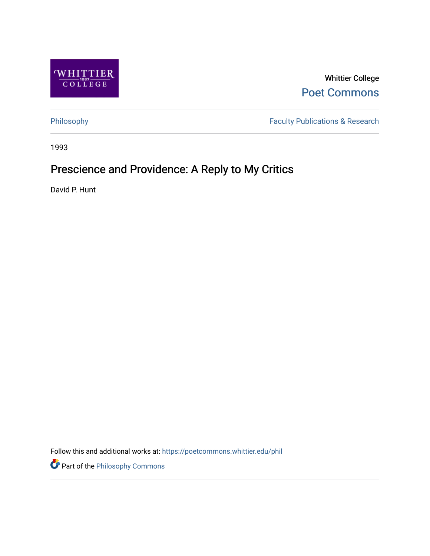

Whittier College [Poet Commons](https://poetcommons.whittier.edu/) 

[Philosophy](https://poetcommons.whittier.edu/phil) Faculty Publications & Research

1993

# Prescience and Providence: A Reply to My Critics

David P. Hunt

Follow this and additional works at: [https://poetcommons.whittier.edu/phil](https://poetcommons.whittier.edu/phil?utm_source=poetcommons.whittier.edu%2Fphil%2F13&utm_medium=PDF&utm_campaign=PDFCoverPages)

Part of the [Philosophy Commons](http://network.bepress.com/hgg/discipline/525?utm_source=poetcommons.whittier.edu%2Fphil%2F13&utm_medium=PDF&utm_campaign=PDFCoverPages)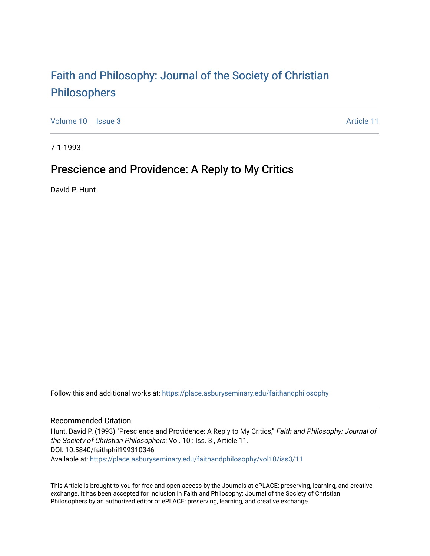# [Faith and Philosophy: Journal of the Society of Christian](https://place.asburyseminary.edu/faithandphilosophy)  [Philosophers](https://place.asburyseminary.edu/faithandphilosophy)

[Volume 10](https://place.asburyseminary.edu/faithandphilosophy/vol10) | [Issue 3](https://place.asburyseminary.edu/faithandphilosophy/vol10/iss3) Article 11

7-1-1993

## Prescience and Providence: A Reply to My Critics

David P. Hunt

Follow this and additional works at: [https://place.asburyseminary.edu/faithandphilosophy](https://place.asburyseminary.edu/faithandphilosophy?utm_source=place.asburyseminary.edu%2Ffaithandphilosophy%2Fvol10%2Fiss3%2F11&utm_medium=PDF&utm_campaign=PDFCoverPages)

#### Recommended Citation

Hunt, David P. (1993) "Prescience and Providence: A Reply to My Critics," Faith and Philosophy: Journal of the Society of Christian Philosophers: Vol. 10 : Iss. 3 , Article 11. DOI: 10.5840/faithphil199310346 Available at: [https://place.asburyseminary.edu/faithandphilosophy/vol10/iss3/11](https://place.asburyseminary.edu/faithandphilosophy/vol10/iss3/11?utm_source=place.asburyseminary.edu%2Ffaithandphilosophy%2Fvol10%2Fiss3%2F11&utm_medium=PDF&utm_campaign=PDFCoverPages) 

This Article is brought to you for free and open access by the Journals at ePLACE: preserving, learning, and creative exchange. It has been accepted for inclusion in Faith and Philosophy: Journal of the Society of Christian Philosophers by an authorized editor of ePLACE: preserving, learning, and creative exchange.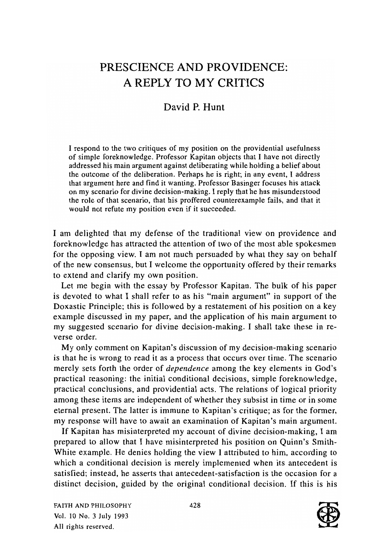### PRESCIENCE AND PROVIDENCE: A REPLY TO MY CRITICS

### David P. Hunt

I respond to the two critiques of my position on the providential usefulness of simple foreknowledge. Professor Kapitan objects that I have not directly addressed his main argument against deliberating while holding a belief about the outcome of the deliberation. Perhaps he is right; in any event, I address that argument here and find it wanting. Professor Basinger focuses his attack on my scenario for divine decision-making. I reply that he has misunderstood the role of that scenario, that his proffered counterexample fails, and that it would not refute my position even if it succeeded.

I am delighted that my defense of the traditional view on providence and foreknowledge has attracted the attention of two of the most able spokesmen for the opposing view. I am not much persuaded by what they say on behalf of the new consensus, but I welcome the opportunity offered by their remarks to extend and clarify my own position.

Let me begin with the essay by Professor Kapitan. The bulk of his paper is devoted to what I shall refer to as his "main argument" in support of the Doxastic Principle; this is followed by a restatement of his position on a key example discussed in my paper, and the application of his main argument to my suggested scenario for divine decision-making. I shall take these in reverse order.

My only comment on Kapitan's discussion of my decision-making scenario is that he is wrong to read it as a process that occurs over time. The scenario merely sets forth the order of *dependence* among the key elements in God's practical reasoning: the initial conditional decisions, simple foreknowledge, practical conclusions, and providential acts. The relations of logical priority among these items are independent of whether they subsist in time or in some eternal present. The latter is immune to Kapitan's critique; as for the former, my response will have to await an examination of Kapitan's main argument.

If Kapitan has misinterpreted my account of divine decision-making, I am prepared to allow that I have misinterpreted his position on Quinn's Smith-White example. He denies holding the view I attributed to him, according to which a conditional decision is merely implemented when its antecedent is satisfied; instead, he asserts that antecedent-satisfaction is the occasion for a distinct decision, guided by the original conditional decision. If this is his

FAITH AND PHILOSOPHY Vol. 10 No.3 July 1993 All rights reserved.

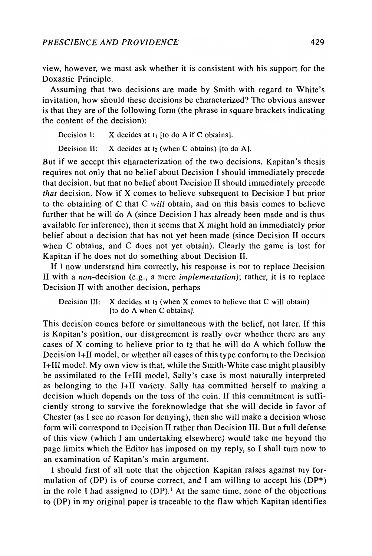view, however, we must ask whether it is consistent with his support for the Doxastic Principle.

Assuming that two decisions are made by Smith with regard to White's invitation, how should these decisions be characterized? The obvious answer is that they are of the following form (the phrase in square brackets indicating the content of the decision):

Decision I:  $X$  decides at  $t_1$  [to do A if C obtains].

Decision II:  $X$  decides at  $t_2$  (when C obtains) [to do A].

But if we accept this characterization of the two decisions, Kapitan's thesis requires not only that no belief about Decision I should immediately precede that decision, but that no belief about Decision II should immediately precede *that* decision. Now if X comes to believe subsequent to Decision I but prior to the obtaining of C that C *will* obtain, and on this basis comes to believe further that he will do A (since Decision I has already been made and is thus available for inference), then it seems that X might hold an immediately prior belief about a decision that has not yet been made (since Decision II occurs when C obtains, and C does not yet obtain). Clearly the game is lost for Kapitan if he does not do something about Decision II.

If I now understand him correctly, his response is not to replace Decision II with a *non-decision* (e.g., a mere *implementation);* rather, it is to replace Decision II with another decision, perhaps

Decision III:  $X$  decides at  $t_3$  (when X comes to believe that C will obtain) [to do A when C obtains].

This decision comes before or simultaneous with the belief, not later. If this is Kapitan's position, our disagreement is really over whether there are any cases of X coming to believe prior to t2 that he will do A which follow the Decision 1+11 model, or whether all cases of this type conform to the Decision I+III model. My own view is that, while the Smith-White case might plausibly be assimilated to the 1+111 model, Sally's case is most naturally interpreted as belonging to the 1+11 variety. Sally has committed herself to making a decision which depends on the toss of the coin. If this commitment is sufficiently strong to survive the foreknowledge that she will decide in favor of Chester (as I see no reason for denying), then she will make a decision whose form will correspond to Decision II rather than Decision III. But a full defense of this view (which I am undertaking elsewhere) would take me beyond the page limits which the Editor has imposed on my reply, so I shall turn now to an examination of Kapitan's main argument.

I should first of all note that the objection Kapitan raises against my formulation of (DP) is of course correct, and I am willing to accept his  $(DP^*)$ in the role I had assigned to  $(DP)$ .<sup>1</sup> At the same time, none of the objections to (DP) in my original paper is traceable to the flaw which Kapitan identifies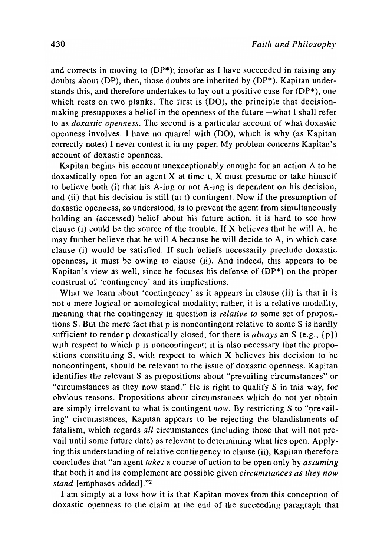and corrects in moving to (DP\*); insofar as I have succeeded in raising any doubts about (DP), then, those doubts are inherited by (DP\*). Kapitan understands this, and therefore undertakes to lay out a positive case for  $(DP^*)$ , one which rests on two planks. The first is (DO), the principle that decisionmaking presupposes a belief in the openness of the future-what I shall refer to as *doxastic openness.* The second is a particular account of what doxastic openness involves. I have no quarrel with (DO), which is why (as Kapitan correctly notes) I never contest it in my paper. My problem concerns Kapitan's account of doxastic openness.

Kapitan begins his account unexceptionably enough: for an action A to be doxastically open for an agent  $X$  at time t,  $X$  must presume or take himself to believe both (i) that his A-ing or not A-ing is dependent on his decision, and (ii) that his decision is still (at t) contingent. Now if the presumption of doxastic openness, so understood, is to prevent the agent from simultaneously holding an (accessed) belief about his future action, it is hard to see how clause (i) could be the source of the trouble. If X believes that he will A, he may further believe that he will A because he will decide to A, in which case clause (i) would be satisfied. If such beliefs necessarily preclude doxastic openness, it must be owing to clause (ii). And indeed, this appears to be Kapitan's view as well, since he focuses his defense of (DP\*) on the proper construal of 'contingency' and its implications.

What we learn about 'contingency' as it appears in clause (ii) is that it is not a mere logical or nomological modality; rather, it is a relative modality, meaning that the contingency in question is *relative to* some set of propositions S. But the mere fact that p is noncontingent relative to some S is hardly sufficient to render p doxastically closed, for there is *always* an S (e.g., {p}) with respect to which p is noncontingent; it is also necessary that the propositions constituting S, with respect to which X believes his decision to be noncontingent, should be relevant to the issue of doxastic openness. Kapitan identifies the relevant S as propositions about "prevailing circumstances" or "circumstances as they now stand." He is right to qualify S in this way, for obvious reasons. Propositions about circumstances which do not yet obtain are simply irrelevant to what is contingent *now.* By restricting S to "prevailing" circumstances, Kapitan appears to be rejecting the blandishments of fatalism, which regards *all* circumstances (including those that will not prevail until some future date) as relevant to determining what lies open. Applying this understanding of relative contingency to clause (ii), Kapitan therefore concludes that "an agent *takes* a course of action to be open only by *assuming*  that both it and its complement are possible given *circumstances as they now stand* [emphases added]."2

I am simply at a loss how it is that Kapitan moves from this conception of doxastic openness to the claim at the end of the succeeding paragraph that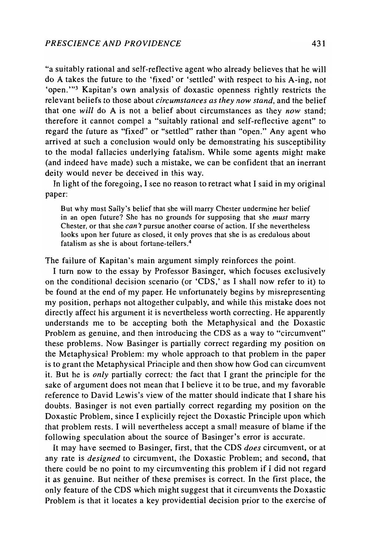"a suitably rational and self-reflective agent who already believes that he will do A takes the future to the 'fixed' or 'settled' with respect to his A-ing, not 'open. "'3 Kapitan's own analysis of doxastic openness rightly restricts the relevant beliefs to those about *circumstances as they now stand,* and the belief that one *will* do A is not a belief about circumstances as they *now* stand; therefore it cannot compel a "suitably rational and self-reflective agent" to regard the future as "fixed" or "settled" rather than "open." Any agent who arrived at such a conclusion would only be demonstrating his susceptibility to the modal fallacies underlying fatalism. While some agents might make (and indeed have made) such a mistake, we can be confident that an inerrant deity would never be deceived in this way.

In light of the foregoing, I see no reason to retract what I said in my original paper:

But why must Sally's belief that she will marry Chester undermine her belief in an open future? She has no grounds for supposing that she *must* marry Chester, or that she *can* 'f pursue another course of action. If she nevertheless looks upon her future as closed, it only proves that she is as credulous about fatalism as she is about fortune-tellers. <sup>4</sup>

The failure of Kapitan's main argument simply reinforces the point.

I turn now to the essay by Professor Basinger, which focuses exclusively on the conditional decision scenario (or 'CDS,' as I shall now refer to it) to be found at the end of my paper. He unfortunately begins by misrepresenting my position, perhaps not altogether culpably, and while this mistake does not directly affect his argument it is nevertheless worth correcting. He apparently understands me to be accepting both the Metaphysical and the Doxastic Problem as genuine, and then introducing the CDS as a way to "circumvent" these problems. Now Basinger is partially correct regarding my position on the Metaphysical Problem: my whole approach to that problem in the paper is to grant the Metaphysical Principle and then show how God can circumvent it. But he is *only* partially correct: the fact that I grant the principle for the sake of argument does not mean that I believe it to be true, and my favorable reference to David Lewis's view of the matter should indicate that I share his doubts. Basinger is not even partially correct regarding my position on the Doxastic Problem, since I explicitly reject the Doxastic Principle upon which that problem rests. I will nevertheless accept a small measure of blame if the following speculation about the source of Basinger's error is accurate.

It may have seemed to Basinger, first, that the CDS *does* circumvent, or at any rate is *designed* to circumvent, the Doxastic Problem; and second, that there could be no point to my circumventing this problem if I did not regard it as genuine. But neither of these premises is correct. In the first place, the only feature of the CDS which might suggest that it circumvents the Doxastic Problem is that it locates a key providential decision prior to the exercise of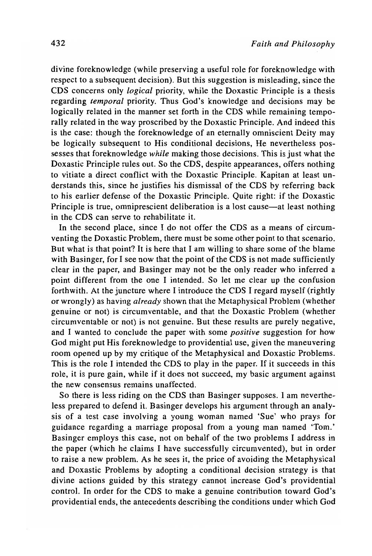divine foreknowledge (while preserving a useful role for foreknowledge with respect to a subsequent decision). But this suggestion is misleading, since the CDS concerns only *logical* priority, while the Doxastic Principle is a thesis regarding *temporal* priority. Thus God's knowledge and decisions may be logically related in the manner set forth in the CDS while remaining temporally related in the way proscribed by the Doxastic Principle. And indeed this is the case: though the foreknowledge of an eternally omniscient Deity may be logically subsequent to His conditional decisions, He nevertheless possesses that foreknowledge *while* making those decisions. This is just what the Doxastic Principle rules out. So the CDS, despite appearances, offers nothing to vitiate a direct conflict with the Doxastic Principle. Kapitan at least understands this, since he justifies his dismissal of the CDS by referring back to his earlier defense of the Doxastic Principle. Quite right: if the Doxastic Principle is true, omniprescient deliberation is a lost cause—at least nothing in the CDS can serve to rehabilitate it.

In the second place, since I do not offer the CDS as a means of circumventing the Doxastic Problem, there must be some other point to that scenario. But what is that point? It is here that I am willing to share some of the blame with Basinger, for I see now that the point of the CDS is not made sufficiently clear in the paper, and Basinger may not be the only reader who inferred a point different from the one I intended. So let me clear up the confusion forthwith. At the juncture where I introduce the CDS I regard myself (rightly or wrongly) as having *already* shown that the Metaphysical Problem (whether genuine or not) is circumventable, and that the Doxastic Problem (whether circumventable or not) is not genuine. But these results are purely negative, and I wanted to conclude the paper with some *positive* suggestion for how God might put His foreknowledge to providential use, given the maneuvering room opened up by my critique of the Metaphysical and Doxastic Problems. This is the role I intended the CDS to play in the paper. If it succeeds in this role, it is pure gain, while if it does not succeed, my basic argument against the new consensus remains unaffected.

So there is less riding on the CDS than Basinger supposes. I am nevertheless prepared to defend it. Basinger develops his argument through an analysis of a test case involving a young woman named 'Sue' who prays for guidance regarding a marriage proposal from a young man named 'Tom.' Basinger employs this case, not on behalf of the two problems I address in the paper (which he claims I have successfully circumvented), but in order to raise a new problem. As he sees it, the price of avoiding the Metaphysical and Doxastic Problems by adopting a conditional decision strategy is that divine actions guided by this strategy cannot increase God's providential control. In order for the CDS to make a genuine contribution toward God's providential ends, the antecedents describing the conditions under which God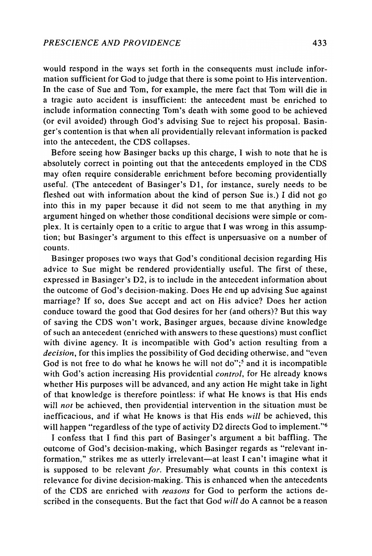would respond in the ways set forth in the consequents must include information sufficient for God to judge that there is some point to His intervention. In the case of Sue and Tom, for example, the mere fact that Tom will die in a tragic auto accident is insufficient: the antecedent must be enriched to include information connecting Tom's death with some good to be achieved (or evil avoided) through God's advising Sue to reject his proposal. Basinger's contention is that when all providentially relevant information is packed into the antecedent, the CDS collapses.

Before seeing how Basinger backs up this charge, I wish to note that he is absolutely correct in pointing out that the antecedents employed in the CDS may often require considerable enrichment before becoming providentially useful. (The antecedent of Basinger's Dl, for instance, surely needs to be fleshed out with information about the kind of person Sue is.) I did not go into this in my paper because it did not seem to me that anything in my argument hinged on whether those conditional decisions were simple or complex. It is certainly open to a critic to argue that I was wrong in this assumption; but Basinger's argument to this effect is unpersuasive on a number of counts.

Basinger proposes two ways that God's conditional decision regarding His advice to Sue might be rendered providentially useful. The first of these, expressed in Basinger's D2, is to include in the antecedent information about the outcome of God's decision-making. Does He end up advising Sue against marriage? If so, does Sue accept and act on His advice? Does her action conduce toward the good that God desires for her (and others)? But this way of saving the CDS won't work, Basinger argues, because divine knowledge of such an antecedent (enriched with answers to these questions) must conflict with divine agency. It is incompatible with God's action resulting from a *decision,* for this implies the possibility of God deciding otherwise, and "even God is not free to do what he knows he will not do";<sup>5</sup> and it is incompatible with God's action increasing His providential *control,* for He already knows whether His purposes will be advanced, and any action He might take in light of that knowledge is therefore pointless: if what He knows is that His ends will *not* be achieved, then providential intervention in the situation must be inefficacious, and if what He knows is that His ends *will* be achieved, this will happen "regardless of the type of activity D2 directs God to implement."<sup>6</sup>

I confess that I find this part of Basinger's argument a bit baffling. The outcome of God's decision-making, which Basinger regards as "relevant information," strikes me as utterly irrelevant-at least I can't imagine what it is supposed to be relevant *for.* Presumably what counts in this context is relevance for divine decision-making. This is enhanced when the antecedents of the CDS are enriched with *reasons* for God to perform the actions described in the consequents. But the fact that God *will* do A cannot be a reason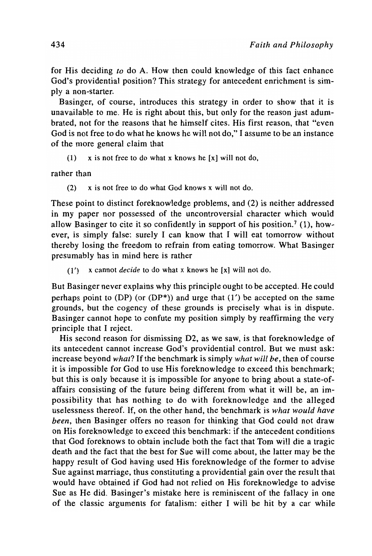for His deciding *to* do A. How then could knowledge of this fact enhance God's providential position? This strategy for antecedent enrichment is simply a non-starter.

Basinger, of course, introduces this strategy in order to show that it is unavailable to me. He is right about this, but only for the reason just adumbrated, not for the reasons that he himself cites. His first reason, that "even God is not free to do what he knows he will not do," I assume to be an instance of the more general claim that

(1)  $x$  is not free to do what x knows he [x] will not do,

rather than

(2) x is not free to do what God knows x will not do.

These point to distinct foreknowledge problems, and (2) is neither addressed in my paper nor possessed of the uncontroversial character which would allow Basinger to cite it so confidently in support of his position.<sup>7</sup> (1), however, is simply false: surely I can know that I will eat tomorrow without thereby losing the freedom to refrain from eating tomorrow. What Basinger presumably has in mind here is rather

(1') x cannot *decide* to do what x knows he [x] will not do.

But Basinger never explains why this principle ought to be accepted. He could perhaps point to (DP) (or (DP<sup>\*</sup>)) and urge that  $(1')$  be accepted on the same grounds, but the cogency of these grounds is precisely what is in dispute. Basinger cannot hope to confute my position simply by reaffirming the very principle that I reject.

His second reason for dismissing D2, as we saw, is that foreknowledge of its antecedent cannot increase God's providential control. But we must ask: increase beyond *what?* If the benchmark is simply *what will be,* then of course it is impossible for God to use His foreknowledge to exceed this benchmark; but this is only because it is impossible for anyone to bring about a state-ofaffairs consisting of the future being different from what it will be, an impossibility that has nothing to do with foreknowledge and the alleged uselessness thereof. If, on the other hand, the benchmark is *what would have been,* then Basinger offers no reason for thinking that God could not draw on His foreknowledge to exceed this benchmark: if the antecedent conditions that God foreknows to obtain include both the fact that Tom will die a tragic death and the fact that the best for Sue will come about, the latter may be the happy result of God having used His foreknowledge of the former to advise Sue against marriage, thus constituting a providential gain over the result that would have obtained if God had not relied on His foreknowledge to advise Sue as He did. Basinger's mistake here is reminiscent of the fallacy in one of the classic arguments for fatalism: either I will be hit by a car while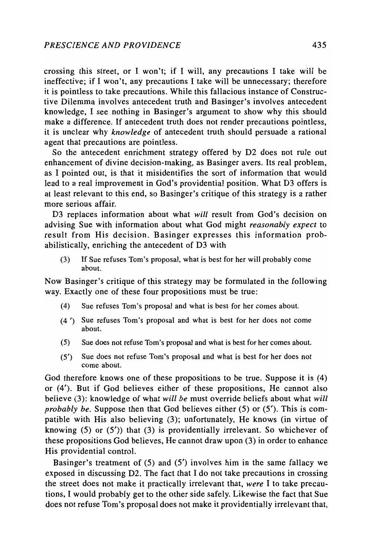crossing this street, or I won't; if I will, any precautions I take will be ineffective; if I won't, any precautions I take will be unnecessary; therefore it is pointless to take precautions. While this fallacious instance of Constructive Dilemma involves antecedent truth and Basinger's involves antecedent knowledge, I see nothing in Basinger's argument to show why this should make a difference. If antecedent truth does not render precautions pointless, it is unclear why *knowledge* of antecedent truth should persuade a rational agent that precautions are pointless.

So the antecedent enrichment strategy offered by D2 does not rule out enhancement of divine decision-making, as Basinger avers. Its real problem, as I pointed out, is that it misidentifies the sort of information that would lead to a real improvement in God's providential position. What D3 offers is at least relevant to this end, so Basinger's critique of this strategy is a rather more serious affair.

D3 replaces information about what *will* result from God's decision on advising Sue with information about what God might *reasonably expect* to result from His decision. Basinger expresses this information probabilistically, enriching the antecedent of D3 with

(3) If Sue refuses Tom's proposal, what is best for her will probably come about.

Now Basinger's critique of this strategy may be formulated in the following way. Exactly one of these four propositions must be true:

- (4) Sue refuses Tom's proposal and what is best for her comes about.
- (4') Sue refuses Tom's proposal and what is best for her does not come about.
- (5) Sue does not refuse Tom's proposal and what is best for her comes about.
- (5') Sue does not refuse Tom's proposal and what is best for her does not come about.

God therefore knows one of these propositions to be true. Suppose it is (4) or (4'). But if God believes either of these propositions, He cannot also believe (3): knowledge of what *will be* must override beliefs about what *will probably be.* Suppose then that God believes either (5) or (5'). This is compatible with His also believing (3); unfortunately, He knows (in virtue of knowing  $(5)$  or  $(5')$  that  $(3)$  is providentially irrelevant. So whichever of these propositions God believes, He cannot draw upon (3) in order to enhance His providential control.

Basinger's treatment of (5) and (5') involves him in the same fallacy we exposed in discussing D2. The fact that I do not take precautions in crossing the street does not make it practically irrelevant that, *were* I to take precautions, I would probably get to the other side safely. Likewise the fact that Sue does not refuse Tom's proposal does not make it providentially irrelevant that,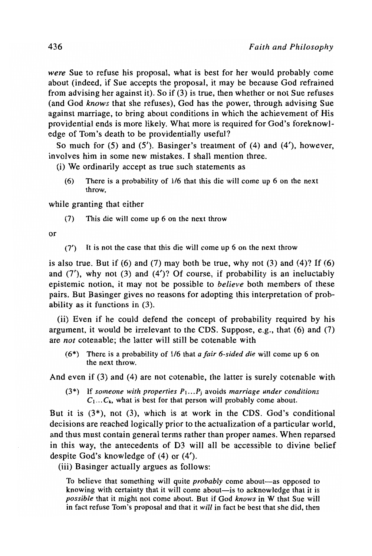*were* Sue to refuse his proposal, what is best for her would probably come about (indeed, if Sue accepts the proposal, it may be because God refrained from advising her against it). So if (3) is true, then whether or not Sue refuses (and God *knows* that she refuses), God has the power, through advising Sue against marriage, to bring about conditions in which the achievement of His providential ends is more likely. What more is required for God's foreknowledge of Tom's death to be providentially useful?

So much for (5) and (5'). Basinger's treatment of (4) and (4'), however, involves him in some new mistakes. I shall mention three.

(i) We ordinarily accept as true such statements as

(6) There is a probability of 1/6 that this die will come up 6 on the next throw,

while granting that either

(7) This die will come up 6 on the next throw

or

(7') It is not the case that this die will come up 6 on the next throw

is also true. But if  $(6)$  and  $(7)$  may both be true, why not  $(3)$  and  $(4)$ ? If  $(6)$ and  $(7')$ , why not  $(3)$  and  $(4')$ ? Of course, if probability is an ineluctably epistemic notion, it may not be possible to *believe* both members of these pairs. But Basinger gives no reasons for adopting this interpretation of probability as it functions in (3).

(ii) Even if he could defend the concept of probability required by his argument, it would be irrelevant to the CDS. Suppose, e.g., that  $(6)$  and  $(7)$ are *not* cotenable; the latter will still be cotenable with

(6\*) There is a probability of *1/6* that *a fair 6-sided die* will come up 6 on the next throw.

And even if (3) and (4) are not cotenable, the latter is surely cotenable with

(3\*) If *someone with properties P, ... Pj* avoids *marriage under conditions*   $C_1...C_k$ , what is best for that person will probably come about.

But it is (3\*), not (3), which is at work in the CDS. God's conditional decisions are reached logically prior to the actualization of a particular world, and thus must contain general terms rather than proper names. When reparsed in this way, the antecedents of D3 will all be accessible to divine belief despite God's knowledge of (4) or (4').

(iii) Basinger actually argues as follows:

To believe that something will quite *probably* come about-as opposed to knowing with certainty that it will come about—is to acknowledge that it is *possible* that it might not come about. But if God *knows* in W that Sue will in fact refuse Tom's proposal and that it *will* in fact be best that she did, then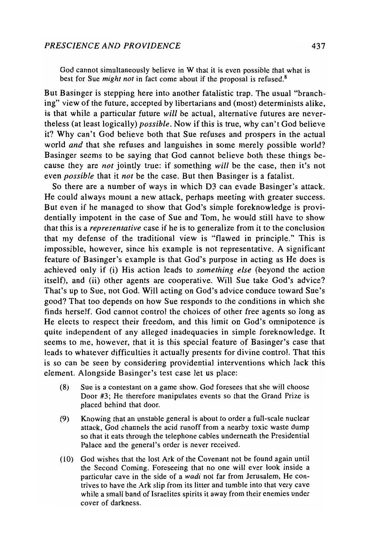God cannot simultaneously believe in W that it is even possible that what is best for Sue *might not* in fact come about if the proposal is refused.<sup>8</sup>

But Basinger is stepping here into another fatalistic trap. The usual "branching" view of the future, accepted by libertarians and (most) determinists alike, is that while a particular future *will* be actual, alternative futures are nevertheless (at least logically) *possible.* Now if this is true, why can't God believe it? Why can't God believe both that Sue refuses and prospers in the actual world *and* that she refuses and languishes in some merely possible world? Basinger seems to be saying that God cannot believe both these things because they are *not* jointly true: if something *will* be the case, then it's not even *possible* that it *not* be the case. But then Basinger is a fatalist.

So there are a number of ways in which D3 can evade Basinger's attack. He could always mount a new attack, perhaps meeting with greater success. But even if he managed to show that God's simple foreknowledge is providentially impotent in the case of Sue and Tom, he would still have to show that this is a *representative* case if he is to generalize from it to the conclusion that my defense of the traditional view is "flawed in principle." This is impossible, however, since his example is not representative. A significant feature of Basinger's example is that God's purpose in acting as He does is achieved only if (i) His action leads to *something else* (beyond the action itself), and (ii) other agents are cooperative. Will Sue take God's advice? That's up to Sue, not God. Will acting on God's advice conduce toward Sue's good? That too depends on how Sue responds to the conditions in which she finds herself. God cannot control the choices of other free agents so long as He elects to respect their freedom, and this limit on God's omnipotence is quite independent of any alleged inadequacies in simple foreknowledge. It seems to me, however, that it is this special feature of Basinger's case that leads to whatever difficulties it actually presents for divine control. That this is so can be seen by considering providential interventions which lack this element. Alongside Basinger's test case let us place:

- (8) Sue is a contestant on a game show. God foresees that she will choose Door #3; He therefore manipulates events so that the Grand Prize is placed behind that door.
- (9) Knowing that an unstable general is about to order a full-scale nuclear attack, God channels the acid runoff from a nearby toxic waste dump so that it eats through the telephone cables underneath the Presidential Palace and the general's order is never received.
- (10) God wishes that the lost Ark of the Covenant not be found again until the Second Coming. Foreseeing that no one will ever look inside a particular cave in the side of a *wadi* not far from Jerusalem, He contrives to have the Ark slip from its litter and tumble into that very cave while a small band of Israelites spirits it away from their enemies under cover of darkness.